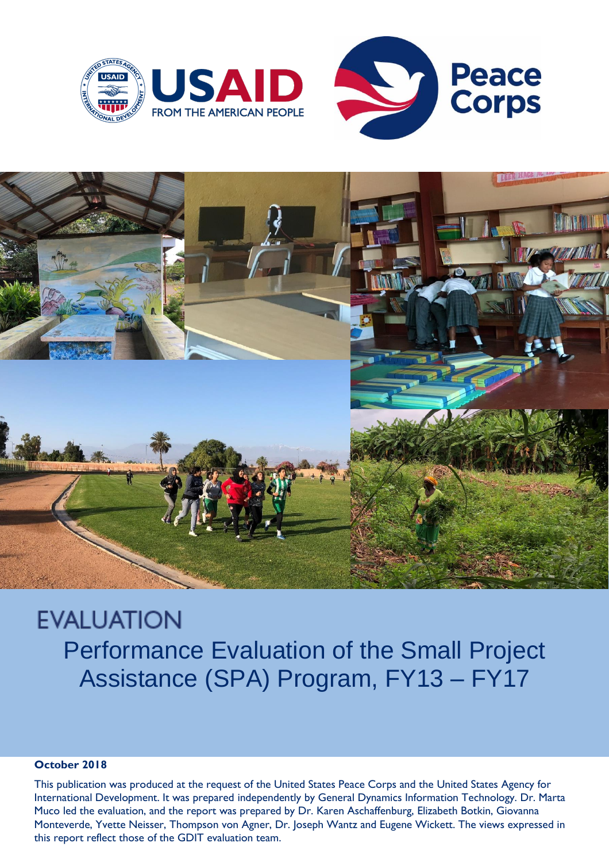



# **EVALUATION** Performance Evaluation of the Small Project Assistance (SPA) Program, FY13 – FY17

#### **October 2018**

This publication was produced at the request of the United States Peace Corps and the United States Agency for International Development. It was prepared independently by General Dynamics Information Technology. Dr. Marta Muco led the evaluation, and the report was prepared by Dr. Karen Aschaffenburg, Elizabeth Botkin, Giovanna Monteverde, Yvette Neisser, Thompson von Agner, Dr. Joseph Wantz and Eugene Wickett. The views expressed in this report reflect those of the GDIT evaluation team.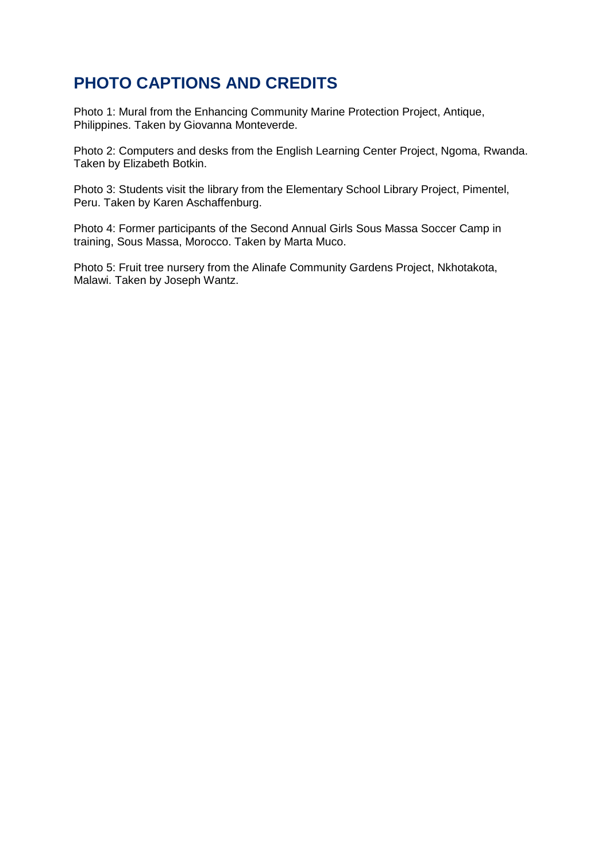## **PHOTO CAPTIONS AND CREDITS**

Photo 1: Mural from the Enhancing Community Marine Protection Project, Antique, Philippines. Taken by Giovanna Monteverde.

Photo 2: Computers and desks from the English Learning Center Project, Ngoma, Rwanda. Taken by Elizabeth Botkin.

Photo 3: Students visit the library from the Elementary School Library Project, Pimentel, Peru. Taken by Karen Aschaffenburg.

Photo 4: Former participants of the Second Annual Girls Sous Massa Soccer Camp in training, Sous Massa, Morocco. Taken by Marta Muco.

Photo 5: Fruit tree nursery from the Alinafe Community Gardens Project, Nkhotakota, Malawi. Taken by Joseph Wantz.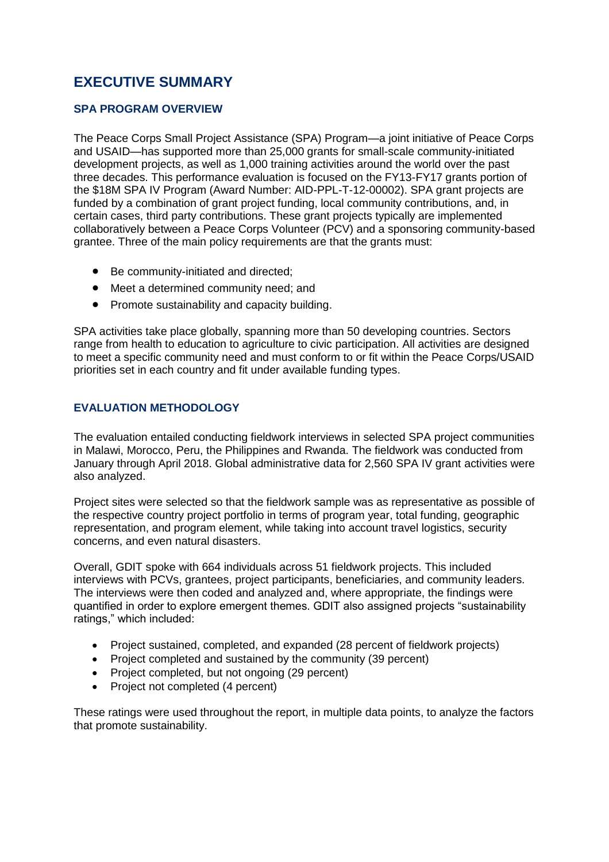### **EXECUTIVE SUMMARY**

#### **SPA PROGRAM OVERVIEW**

The Peace Corps Small Project Assistance (SPA) Program—a joint initiative of Peace Corps and USAID—has supported more than 25,000 grants for small-scale community-initiated development projects, as well as 1,000 training activities around the world over the past three decades. This performance evaluation is focused on the FY13-FY17 grants portion of the \$18M SPA IV Program (Award Number: AID-PPL-T-12-00002). SPA grant projects are funded by a combination of grant project funding, local community contributions, and, in certain cases, third party contributions. These grant projects typically are implemented collaboratively between a Peace Corps Volunteer (PCV) and a sponsoring community-based grantee. Three of the main policy requirements are that the grants must:

- Be community-initiated and directed;
- Meet a determined community need; and
- Promote sustainability and capacity building.

SPA activities take place globally, spanning more than 50 developing countries. Sectors range from health to education to agriculture to civic participation. All activities are designed to meet a specific community need and must conform to or fit within the Peace Corps/USAID priorities set in each country and fit under available funding types.

#### **EVALUATION METHODOLOGY**

The evaluation entailed conducting fieldwork interviews in selected SPA project communities in Malawi, Morocco, Peru, the Philippines and Rwanda. The fieldwork was conducted from January through April 2018. Global administrative data for 2,560 SPA IV grant activities were also analyzed.

Project sites were selected so that the fieldwork sample was as representative as possible of the respective country project portfolio in terms of program year, total funding, geographic representation, and program element, while taking into account travel logistics, security concerns, and even natural disasters.

Overall, GDIT spoke with 664 individuals across 51 fieldwork projects. This included interviews with PCVs, grantees, project participants, beneficiaries, and community leaders. The interviews were then coded and analyzed and, where appropriate, the findings were quantified in order to explore emergent themes. GDIT also assigned projects "sustainability ratings," which included:

- Project sustained, completed, and expanded (28 percent of fieldwork projects)
- Project completed and sustained by the community (39 percent)
- Project completed, but not ongoing (29 percent)
- Project not completed (4 percent)

These ratings were used throughout the report, in multiple data points, to analyze the factors that promote sustainability.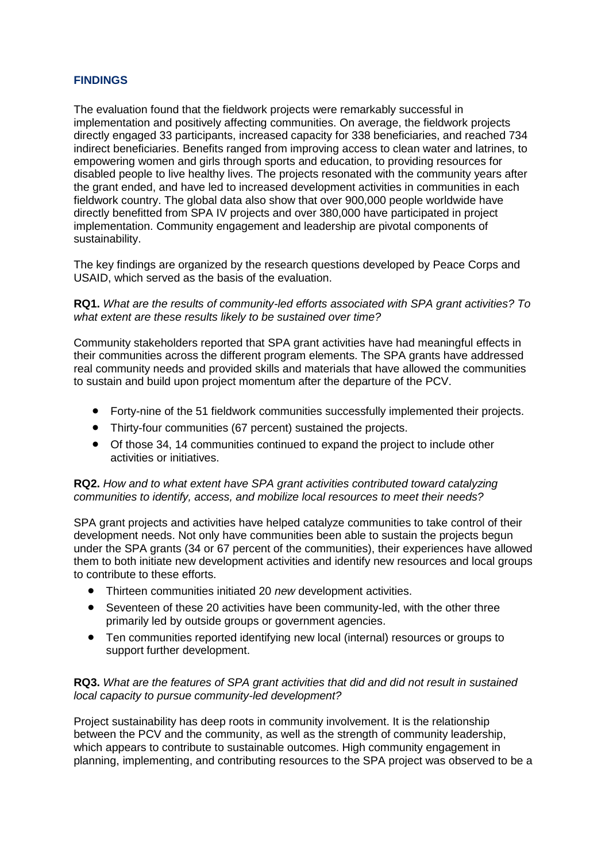#### **FINDINGS**

The evaluation found that the fieldwork projects were remarkably successful in implementation and positively affecting communities. On average, the fieldwork projects directly engaged 33 participants, increased capacity for 338 beneficiaries, and reached 734 indirect beneficiaries. Benefits ranged from improving access to clean water and latrines, to empowering women and girls through sports and education, to providing resources for disabled people to live healthy lives. The projects resonated with the community years after the grant ended, and have led to increased development activities in communities in each fieldwork country. The global data also show that over 900,000 people worldwide have directly benefitted from SPA IV projects and over 380,000 have participated in project implementation. Community engagement and leadership are pivotal components of sustainability.

The key findings are organized by the research questions developed by Peace Corps and USAID, which served as the basis of the evaluation.

#### **RQ1.** *What are the results of community-led efforts associated with SPA grant activities? To what extent are these results likely to be sustained over time?*

Community stakeholders reported that SPA grant activities have had meaningful effects in their communities across the different program elements. The SPA grants have addressed real community needs and provided skills and materials that have allowed the communities to sustain and build upon project momentum after the departure of the PCV.

- Forty-nine of the 51 fieldwork communities successfully implemented their projects.
- Thirty-four communities (67 percent) sustained the projects.
- Of those 34, 14 communities continued to expand the project to include other activities or initiatives.

**RQ2.** *How and to what extent have SPA grant activities contributed toward catalyzing communities to identify, access, and mobilize local resources to meet their needs?*

SPA grant projects and activities have helped catalyze communities to take control of their development needs. Not only have communities been able to sustain the projects begun under the SPA grants (34 or 67 percent of the communities), their experiences have allowed them to both initiate new development activities and identify new resources and local groups to contribute to these efforts.

- Thirteen communities initiated 20 *new* development activities.
- Seventeen of these 20 activities have been community-led, with the other three primarily led by outside groups or government agencies.
- Ten communities reported identifying new local (internal) resources or groups to support further development.

#### **RQ3.** *What are the features of SPA grant activities that did and did not result in sustained local capacity to pursue community-led development?*

Project sustainability has deep roots in community involvement. It is the relationship between the PCV and the community, as well as the strength of community leadership, which appears to contribute to sustainable outcomes. High community engagement in planning, implementing, and contributing resources to the SPA project was observed to be a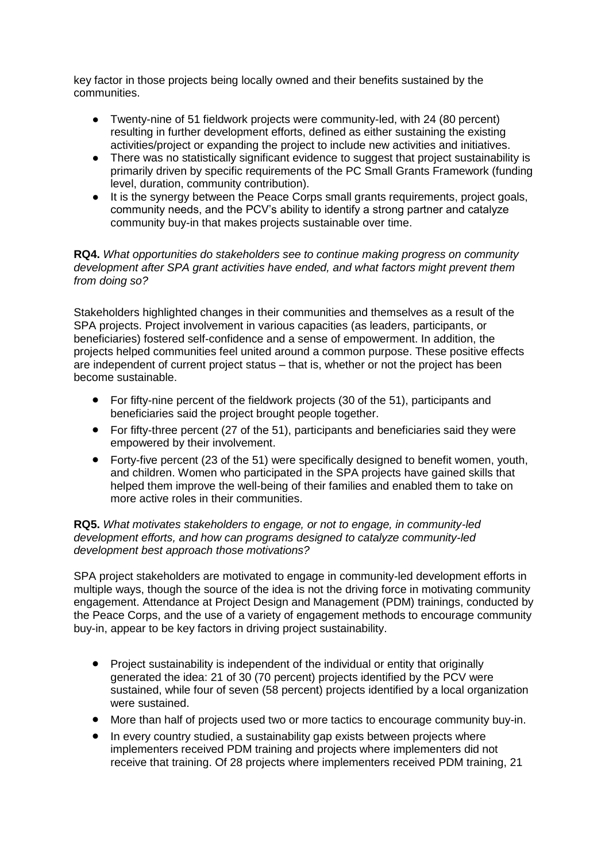key factor in those projects being locally owned and their benefits sustained by the communities.

- Twenty-nine of 51 fieldwork projects were community-led, with 24 (80 percent) resulting in further development efforts, defined as either sustaining the existing activities/project or expanding the project to include new activities and initiatives.
- There was no statistically significant evidence to suggest that project sustainability is primarily driven by specific requirements of the PC Small Grants Framework (funding level, duration, community contribution).
- It is the synergy between the Peace Corps small grants requirements, project goals, community needs, and the PCV's ability to identify a strong partner and catalyze community buy-in that makes projects sustainable over time.

**RQ4.** *What opportunities do stakeholders see to continue making progress on community development after SPA grant activities have ended, and what factors might prevent them from doing so?* 

Stakeholders highlighted changes in their communities and themselves as a result of the SPA projects. Project involvement in various capacities (as leaders, participants, or beneficiaries) fostered self-confidence and a sense of empowerment. In addition, the projects helped communities feel united around a common purpose. These positive effects are independent of current project status – that is, whether or not the project has been become sustainable.

- For fifty-nine percent of the fieldwork projects (30 of the 51), participants and beneficiaries said the project brought people together.
- For fifty-three percent (27 of the 51), participants and beneficiaries said they were empowered by their involvement.
- Forty-five percent (23 of the 51) were specifically designed to benefit women, youth, and children. Women who participated in the SPA projects have gained skills that helped them improve the well-being of their families and enabled them to take on more active roles in their communities.

#### **RQ5.** *What motivates stakeholders to engage, or not to engage, in community-led development efforts, and how can programs designed to catalyze community-led development best approach those motivations?*

SPA project stakeholders are motivated to engage in community-led development efforts in multiple ways, though the source of the idea is not the driving force in motivating community engagement. Attendance at Project Design and Management (PDM) trainings, conducted by the Peace Corps, and the use of a variety of engagement methods to encourage community buy-in, appear to be key factors in driving project sustainability.

- Project sustainability is independent of the individual or entity that originally generated the idea: 21 of 30 (70 percent) projects identified by the PCV were sustained, while four of seven (58 percent) projects identified by a local organization were sustained.
- More than half of projects used two or more tactics to encourage community buy-in.
- In every country studied, a sustainability gap exists between projects where implementers received PDM training and projects where implementers did not receive that training. Of 28 projects where implementers received PDM training, 21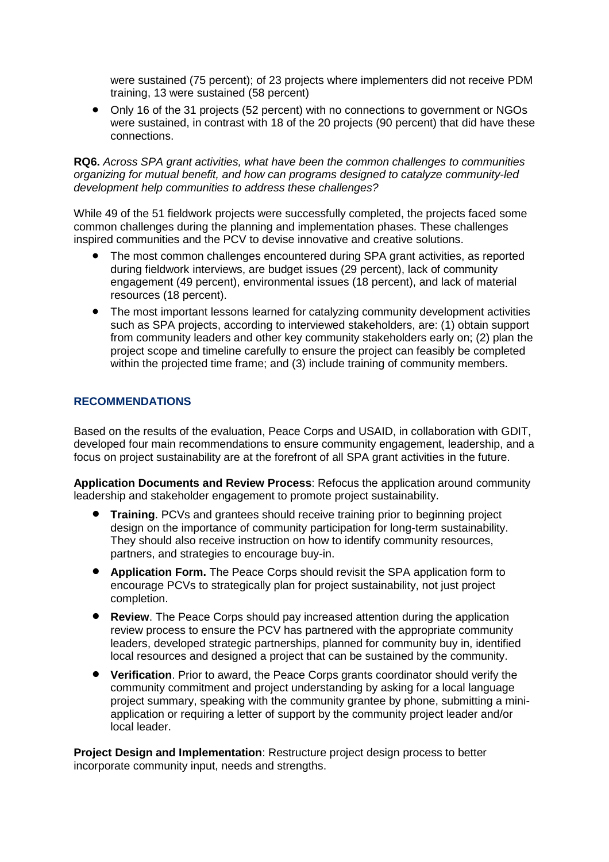were sustained (75 percent); of 23 projects where implementers did not receive PDM training, 13 were sustained (58 percent)

 Only 16 of the 31 projects (52 percent) with no connections to government or NGOs were sustained, in contrast with 18 of the 20 projects (90 percent) that did have these connections.

#### **RQ6.** *Across SPA grant activities, what have been the common challenges to communities organizing for mutual benefit, and how can programs designed to catalyze community-led development help communities to address these challenges?*

While 49 of the 51 fieldwork projects were successfully completed, the projects faced some common challenges during the planning and implementation phases. These challenges inspired communities and the PCV to devise innovative and creative solutions.

- The most common challenges encountered during SPA grant activities, as reported during fieldwork interviews, are budget issues (29 percent), lack of community engagement (49 percent), environmental issues (18 percent), and lack of material resources (18 percent).
- The most important lessons learned for catalyzing community development activities such as SPA projects, according to interviewed stakeholders, are: (1) obtain support from community leaders and other key community stakeholders early on; (2) plan the project scope and timeline carefully to ensure the project can feasibly be completed within the projected time frame; and (3) include training of community members.

#### **RECOMMENDATIONS**

Based on the results of the evaluation, Peace Corps and USAID, in collaboration with GDIT, developed four main recommendations to ensure community engagement, leadership, and a focus on project sustainability are at the forefront of all SPA grant activities in the future.

**Application Documents and Review Process**: Refocus the application around community leadership and stakeholder engagement to promote project sustainability.

- **Training**. PCVs and grantees should receive training prior to beginning project design on the importance of community participation for long-term sustainability. They should also receive instruction on how to identify community resources, partners, and strategies to encourage buy-in.
- **Application Form.** The Peace Corps should revisit the SPA application form to encourage PCVs to strategically plan for project sustainability, not just project completion.
- **Review**. The Peace Corps should pay increased attention during the application review process to ensure the PCV has partnered with the appropriate community leaders, developed strategic partnerships, planned for community buy in, identified local resources and designed a project that can be sustained by the community.
- **Verification**. Prior to award, the Peace Corps grants coordinator should verify the community commitment and project understanding by asking for a local language project summary, speaking with the community grantee by phone, submitting a miniapplication or requiring a letter of support by the community project leader and/or local leader.

**Project Design and Implementation**: Restructure project design process to better incorporate community input, needs and strengths.